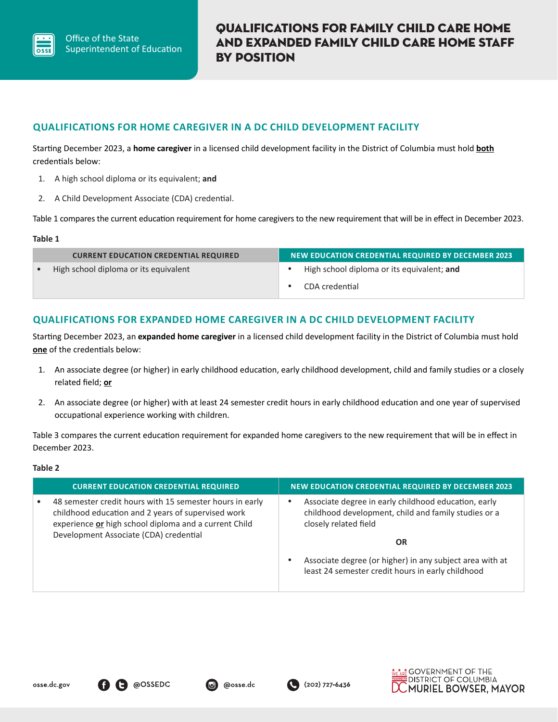

### **QUALIFICATIONS FOR HOME CAREGIVER IN A DC CHILD DEVELOPMENT FACILITY**

Starting December 2023, a **home caregiver** in a licensed child development facility in the District of Columbia must hold **both** credentials below:

- 1. A high school diploma or its equivalent; **and**
- 2. A Child Development Associate (CDA) credential.

Table 1 compares the current education requirement for home caregivers to the new requirement that will be in effect in December 2023.

#### **Table 1**

| <b>CURRENT EDUCATION CREDENTIAL REQUIRED</b> | <b>NEW EDUCATION CREDENTIAL REQUIRED BY DECEMBER 2023</b> |
|----------------------------------------------|-----------------------------------------------------------|
| High school diploma or its equivalent        | High school diploma or its equivalent; and                |
|                                              | CDA credential                                            |

#### **QUALIFICATIONS FOR EXPANDED HOME CAREGIVER IN A DC CHILD DEVELOPMENT FACILITY**

Starting December 2023, an **expanded home caregiver** in a licensed child development facility in the District of Columbia must hold **one** of the credentials below:

- 1. An associate degree (or higher) in early childhood education, early childhood development, child and family studies or a closely related field; **or**
- 2. An associate degree (or higher) with at least 24 semester credit hours in early childhood education and one year of supervised occupational experience working with children.

Table 3 compares the current education requirement for expanded home caregivers to the new requirement that will be in effect in December 2023.

#### **Table 2**

| <b>CURRENT EDUCATION CREDENTIAL REQUIRED</b>                                                                                                                                                                      | <b>NEW EDUCATION CREDENTIAL REQUIRED BY DECEMBER 2023</b>                                                                                          |
|-------------------------------------------------------------------------------------------------------------------------------------------------------------------------------------------------------------------|----------------------------------------------------------------------------------------------------------------------------------------------------|
| 48 semester credit hours with 15 semester hours in early<br>childhood education and 2 years of supervised work<br>experience or high school diploma and a current Child<br>Development Associate (CDA) credential | Associate degree in early childhood education, early<br>childhood development, child and family studies or a<br>closely related field<br><b>OR</b> |
|                                                                                                                                                                                                                   | Associate degree (or higher) in any subject area with at<br>least 24 semester credit hours in early childhood                                      |